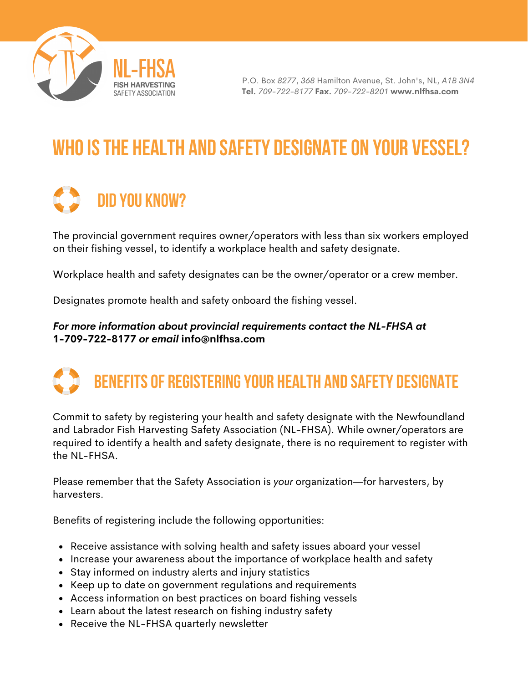

P.O. Box *8277*, *368* Hamilton Avenue, St. John's, NL, *A1B 3N4* **Tel.** *709-722-8177* **Fax.** *709-722-8201* **www.nlfhsa.com**

## WHO IS THE HEALTH AND SAFETY DESIGNATE ON YOUR VESSEL?

## DID YOU KNOW?

The provincial government requires owner/operators with less than six workers employed on their fishing vessel, to identify a workplace health and safety designate.

Workplace health and safety designates can be the owner/operator or a crew member.

Designates promote health and safety onboard the fishing vessel.

## *For more information about provincial requirements contact the NL-FHSA at* **1-709-722-8177** *or email* **info@nlfhsa.com**



Commit to safety by registering your health and safety designate with the Newfoundland and Labrador Fish Harvesting Safety Association (NL-FHSA). While owner/operators are required to identify a health and safety designate, there is no requirement to register with the NL-FHSA.

Please remember that the Safety Association is *your* organization—for harvesters, by harvesters.

Benefits of registering include the following opportunities:

- Receive assistance with solving health and safety issues aboard your vessel
- Increase your awareness about the importance of workplace health and safety
- Stay informed on industry alerts and injury statistics
- Keep up to date on government regulations and requirements
- Access information on best practices on board fishing vessels
- Learn about the latest research on fishing industry safety
- Receive the NL-FHSA quarterly newsletter